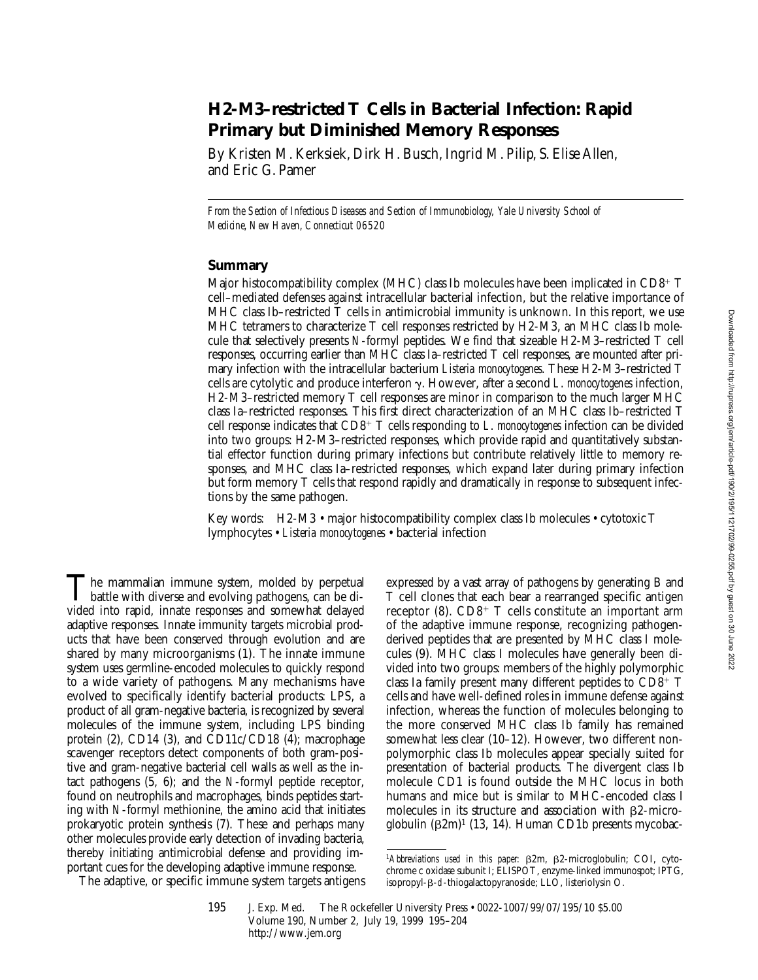# **H2-M3–restricted T Cells in Bacterial Infection: Rapid Primary but Diminished Memory Responses**

By Kristen M. Kerksiek, Dirk H. Busch, Ingrid M. Pilip, S. Elise Allen, and Eric G. Pamer

*From the Section of Infectious Diseases and Section of Immunobiology, Yale University School of Medicine, New Haven, Connecticut 06520*

## **Summary**

Major histocompatibility complex (MHC) class Ib molecules have been implicated in  $CD8^+$  T cell–mediated defenses against intracellular bacterial infection, but the relative importance of MHC class Ib–restricted  $\overline{T}$  cells in antimicrobial immunity is unknown. In this report, we use MHC tetramers to characterize T cell responses restricted by H2-M3, an MHC class Ib molecule that selectively presents *N*-formyl peptides. We find that sizeable H2-M3–restricted T cell responses, occurring earlier than MHC class Ia–restricted T cell responses, are mounted after primary infection with the intracellular bacterium *Listeria monocytogenes*. These H2-M3–restricted T cells are cytolytic and produce interferon g. However, after a second *L*. *monocytogenes* infection, H2-M3–restricted memory T cell responses are minor in comparison to the much larger MHC class Ia–restricted responses. This first direct characterization of an MHC class Ib–restricted T cell response indicates that CD8<sup>1</sup> T cells responding to *L*. *monocytogenes* infection can be divided into two groups: H2-M3–restricted responses, which provide rapid and quantitatively substantial effector function during primary infections but contribute relatively little to memory responses, and MHC class Ia–restricted responses, which expand later during primary infection but form memory T cells that respond rapidly and dramatically in response to subsequent infections by the same pathogen.

Key words: H2-M3 • major histocompatibility complex class Ib molecules • cytotoxic T lymphocytes • *Listeria monocytogenes* • bacterial infection

The mammalian immune system, molded by perpetual<br>battle with diverse and evolving pathogens, can be divided into rapid, innate responses and somewhat delayed adaptive responses. Innate immunity targets microbial products that have been conserved through evolution and are shared by many microorganisms (1). The innate immune system uses germline-encoded molecules to quickly respond to a wide variety of pathogens. Many mechanisms have evolved to specifically identify bacterial products: LPS, a product of all gram-negative bacteria, is recognized by several molecules of the immune system, including LPS binding protein (2), CD14 (3), and CD11c/CD18  $(\overline{4})$ ; macrophage scavenger receptors detect components of both gram-positive and gram-negative bacterial cell walls as well as the intact pathogens (5, 6); and the *N*-formyl peptide receptor, found on neutrophils and macrophages, binds peptides starting with *N*-formyl methionine, the amino acid that initiates prokaryotic protein synthesis (7). These and perhaps many other molecules provide early detection of invading bacteria, thereby initiating antimicrobial defense and providing important cues for the developing adaptive immune response.

The adaptive, or specific immune system targets antigens

expressed by a vast array of pathogens by generating B and T cell clones that each bear a rearranged specific antigen receptor  $(8)$ . CD8<sup>+</sup> T cells constitute an important arm of the adaptive immune response, recognizing pathogenderived peptides that are presented by MHC class I molecules (9). MHC class I molecules have generally been divided into two groups: members of the highly polymorphic class Ia family present many different peptides to  $CD8^+$  T cells and have well-defined roles in immune defense against infection, whereas the function of molecules belonging to the more conserved MHC class Ib family has remained somewhat less clear (10–12). However, two different nonpolymorphic class Ib molecules appear specially suited for presentation of bacterial products. The divergent class Ib molecule CD1 is found outside the MHC locus in both humans and mice but is similar to MHC-encoded class I molecules in its structure and association with  $\beta$ 2-microglobulin  $(62m)^1$  (13, 14). Human CD1b presents mycobac-

<sup>&</sup>lt;sup>1</sup>Abbreviations used in this paper:  $\beta$ 2m,  $\beta$ 2-microglobulin; COI, cytochrome c oxidase subunit I; ELISPOT, enzyme-linked immunospot; IPTG, isopropyl-β-d-thiogalactopyranoside; LLO, listeriolysin O.

<sup>195</sup> J. Exp. Med. The Rockefeller University Press • 0022-1007/99/07/195/10 \$5.00 Volume 190, Number 2, July 19, 1999 195–204 http://www.jem.org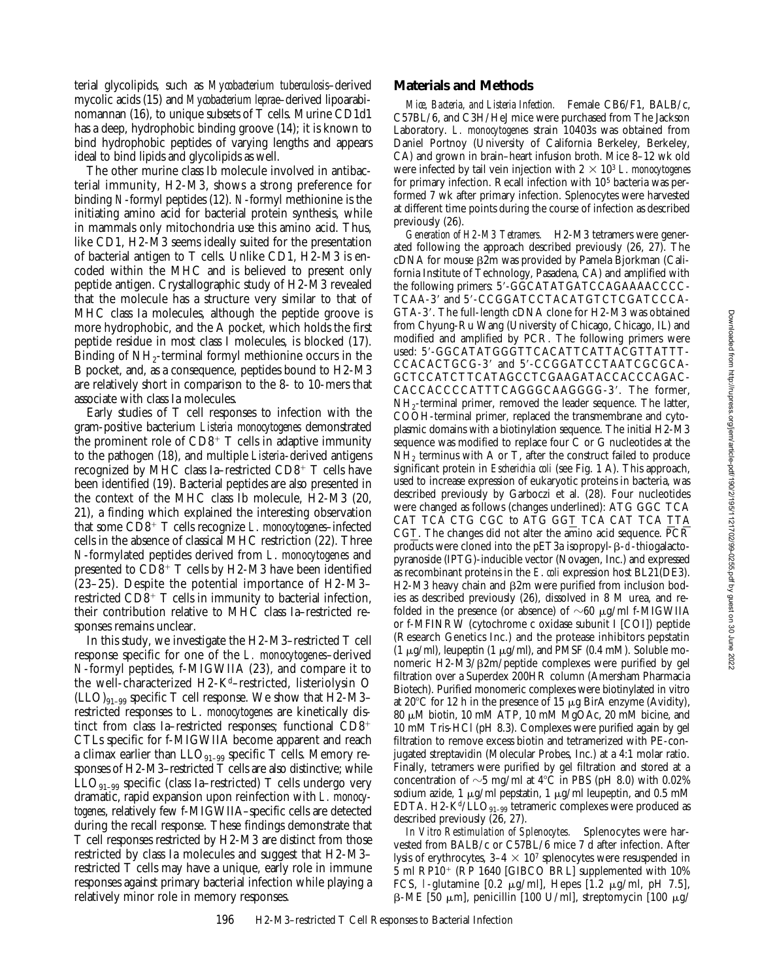terial glycolipids, such as *Mycobacterium tuberculosis*–derived mycolic acids (15) and *Mycobacterium leprae*–derived lipoarabinomannan (16), to unique subsets of T cells. Murine CD1d1 has a deep, hydrophobic binding groove (14); it is known to bind hydrophobic peptides of varying lengths and appears ideal to bind lipids and glycolipids as well.

The other murine class Ib molecule involved in antibacterial immunity, H2-M3, shows a strong preference for binding *N*-formyl peptides (12). *N*-formyl methionine is the initiating amino acid for bacterial protein synthesis, while in mammals only mitochondria use this amino acid. Thus, like CD1, H2-M3 seems ideally suited for the presentation of bacterial antigen to T cells. Unlike CD1, H2-M3 is encoded within the MHC and is believed to present only peptide antigen. Crystallographic study of H2-M3 revealed that the molecule has a structure very similar to that of MHC class Ia molecules, although the peptide groove is more hydrophobic, and the A pocket, which holds the first peptide residue in most class I molecules, is blocked (17). Binding of  $NH_2$ -terminal formyl methionine occurs in the B pocket, and, as a consequence, peptides bound to H2-M3 are relatively short in comparison to the 8- to 10-mers that associate with class Ia molecules.

Early studies of T cell responses to infection with the gram-positive bacterium *Listeria monocytogenes* demonstrated the prominent role of  $CD8^+$  T cells in adaptive immunity to the pathogen (18), and multiple *Listeria*-derived antigens recognized by MHC class Ia–restricted  $CD8^+$  T cells have been identified (19). Bacterial peptides are also presented in the context of the MHC class Ib molecule, H2-M3 (20, 21), a finding which explained the interesting observation that some CD8<sup>+</sup> T cells recognize *L. monocytogenes*–infected cells in the absence of classical MHC restriction (22). Three *N*-formylated peptides derived from *L*. *monocytogenes* and presented to  $CD8^+$  T cells by H2-M3 have been identified (23–25). Despite the potential importance of H2-M3– restricted  $CD\bar{8}^+$  T cells in immunity to bacterial infection, their contribution relative to MHC class Ia–restricted responses remains unclear.

In this study, we investigate the H2-M3–restricted T cell response specific for one of the *L. monocytogenes*–derived *N*-formyl peptides, f-MIGWIIA (23), and compare it to the well-characterized H2-Kd–restricted, listeriolysin O  $(LLO)_{91-99}$  specific T cell response. We show that H2-M3restricted responses to *L*. *monocytogenes* are kinetically distinct from class Ia–restricted responses; functional  $CD8^+$ CTLs specific for f-MIGWIIA become apparent and reach a climax earlier than  $LLO_{91-99}$  specific T cells. Memory responses of H2-M3–restricted T cells are also distinctive; while  $LLO_{91-99}$  specific (class Ia–restricted) T cells undergo very dramatic, rapid expansion upon reinfection with *L. monocytogenes*, relatively few f-MIGWIIA–specific cells are detected during the recall response. These findings demonstrate that T cell responses restricted by H2-M3 are distinct from those restricted by class Ia molecules and suggest that H2-M3– restricted T cells may have a unique, early role in immune responses against primary bacterial infection while playing a relatively minor role in memory responses.

#### **Materials and Methods**

*Mice, Bacteria, and Listeria Infection.* Female CB6/F1, BALB/c, C57BL/6, and C3H/HeJ mice were purchased from The Jackson Laboratory. *L. monocytogenes* strain 10403s was obtained from Daniel Portnoy (University of California Berkeley, Berkeley, CA) and grown in brain–heart infusion broth. Mice 8–12 wk old were infected by tail vein injection with  $2 \times 10^3$  *L. monocytogenes* for primary infection. Recall infection with 105 bacteria was performed 7 wk after primary infection. Splenocytes were harvested at different time points during the course of infection as described previously (26).

*Generation of H2-M3 Tetramers.* H2-M3 tetramers were generated following the approach described previously (26, 27). The  $cDNA$  for mouse  $\beta2m$  was provided by Pamela Bjorkman (California Institute of Technology, Pasadena, CA) and amplified with the following primers: 5'-GGCATATGATCCAGAAAACCCC-TCAA-3' and 5'-CCGGATCCTACATGTCTCGATCCCA-GTA-3'. The full-length cDNA clone for H2-M3 was obtained from Chyung-Ru Wang (University of Chicago, Chicago, IL) and modified and amplified by PCR. The following primers were used: 5'-GGCATATGGGTTCACATTCATTACGTTATTT-CCACACTGCG-3' and 5'-CCGGATCCTAATCGCGCA-GCTCCATCTTCATAGCCTCGAAGATACCACCCAGAC-CACCACCCCATTTCAGGGCAAGGGG-3'. The former, NH<sub>2</sub>-terminal primer, removed the leader sequence. The latter, COOH-terminal primer, replaced the transmembrane and cytoplasmic domains with a biotinylation sequence. The initial H2-M3 sequence was modified to replace four C or G nucleotides at the  $NH<sub>2</sub>$  terminus with A or T, after the construct failed to produce significant protein in *Escherichia coli* (see Fig. 1 A). This approach, used to increase expression of eukaryotic proteins in bacteria, was described previously by Garboczi et al. (28). Four nucleotides were changed as follows (changes underlined): ATG GGC TCA CAT TCA CTG CGC to ATG GGT TCA CAT TCA TTA CGT. The changes did not alter the amino acid sequence. PCR products were cloned into the pET3a isopropyl- $\beta$ -d-thiogalactopyranoside (IPTG)-inducible vector (Novagen, Inc.) and expressed as recombinant proteins in the *E*. *coli* expression host BL21(DE3). H2-M3 heavy chain and  $\beta$ 2m were purified from inclusion bodies as described previously (26), dissolved in 8 M urea, and refolded in the presence (or absence) of  $\sim 60 \mu g/ml$  f-MIGWIIA or f-MFINRW (cytochrome c oxidase subunit I [COI]) peptide (Research Genetics Inc.) and the protease inhibitors pepstatin  $(1 \mu g/ml)$ , leupeptin  $(1 \mu g/ml)$ , and PMSF  $(0.4 \text{ mM})$ . Soluble monomeric  $H2-M3/B2m/peptide complexes$  were purified by gel filtration over a Superdex 200HR column (Amersham Pharmacia Biotech). Purified monomeric complexes were biotinylated in vitro at  $20^{\circ}$ C for 12 h in the presence of 15  $\mu$ g BirA enzyme (Avidity), 80 mM biotin, 10 mM ATP, 10 mM MgOAc, 20 mM bicine, and 10 mM Tris-HCl (pH 8.3). Complexes were purified again by gel filtration to remove excess biotin and tetramerized with PE-conjugated streptavidin (Molecular Probes, Inc.) at a 4:1 molar ratio. Finally, tetramers were purified by gel filtration and stored at a concentration of  $\sim$ 5 mg/ml at 4°C in PBS (pH 8.0) with 0.02% sodium azide, 1  $\mu$ g/ml pepstatin, 1  $\mu$ g/ml leupeptin, and 0.5 mM EDTA. H2-K<sup>d</sup>/LLO<sub>91–99</sub> tetrameric complexes were produced as described previously (26, 27).

*In Vitro Restimulation of Splenocytes.* Splenocytes were harvested from BALB/c or C57BL/6 mice 7 d after infection. After lysis of erythrocytes,  $3-4 \times 10^7$  splenocytes were resuspended in  $5$  ml RP10<sup>+</sup> (RP 1640 [GIBCO BRL] supplemented with  $10\%$ FCS, 1-glutamine  $[0.2 \mu g/ml]$ , Hepes  $[1.2 \mu g/ml]$ , pH 7.5],  $\beta$ -ME [50 µm], penicillin [100 U/ml], streptomycin [100 µg/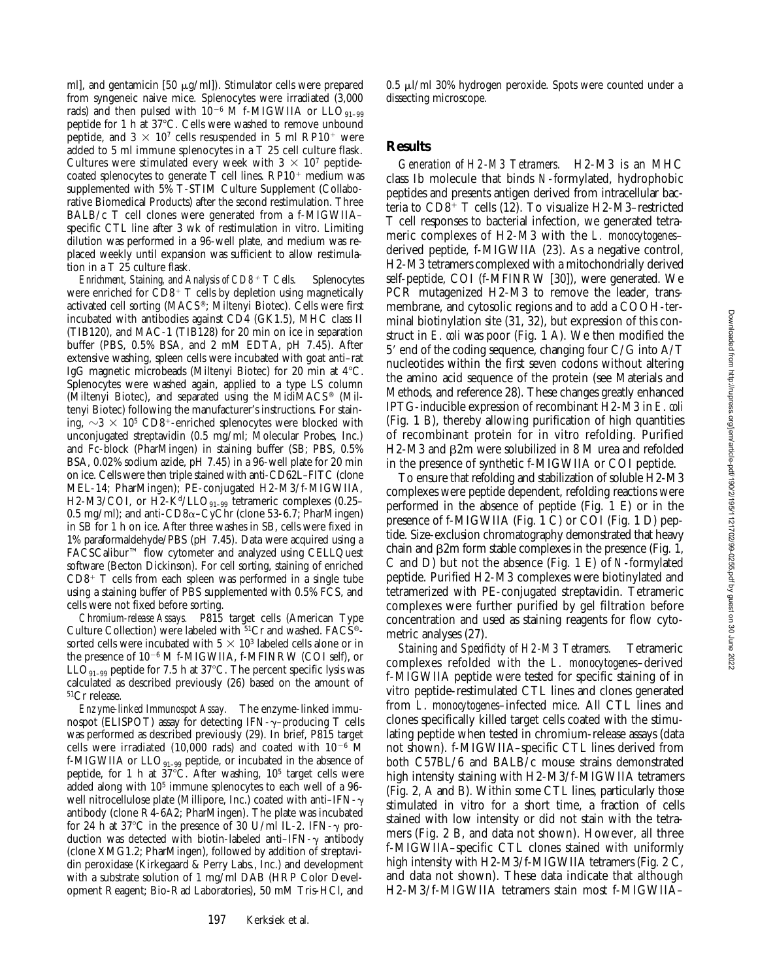ml], and gentamicin [50  $\mu$ g/ml]). Stimulator cells were prepared from syngeneic naive mice. Splenocytes were irradiated (3,000 rads) and then pulsed with  $10^{-6}$  M f-MIGWIIA or LLO<sub>91-99</sub> peptide for 1 h at 37°C. Cells were washed to remove unbound peptide, and  $3 \times 10^7$  cells resuspended in 5 ml RP10<sup>+</sup> were added to 5 ml immune splenocytes in a T 25 cell culture flask. Cultures were stimulated every week with  $3 \times 10^7$  peptidecoated splenocytes to generate  $T$  cell lines. RP10<sup>+</sup> medium was supplemented with 5% T-STIM Culture Supplement (Collaborative Biomedical Products) after the second restimulation. Three BALB/c T cell clones were generated from a f-MIGWIIA– specific CTL line after 3 wk of restimulation in vitro. Limiting dilution was performed in a 96-well plate, and medium was replaced weekly until expansion was sufficient to allow restimulation in a T 25 culture flask.

*Enrichment, Staining, and Analysis of CD8<sup>+</sup> T Cells.* Splenocytes were enriched for  $CDB+T$  cells by depletion using magnetically activated cell sorting (MACS®; Miltenyi Biotec). Cells were first incubated with antibodies against CD4 (GK1.5), MHC class II (TIB120), and MAC-1 (TIB128) for 20 min on ice in separation buffer (PBS, 0.5% BSA, and 2 mM EDTA, pH 7.45). After extensive washing, spleen cells were incubated with goat anti–rat IgG magnetic microbeads (Miltenyi Biotec) for 20 min at  $4^{\circ}$ C. Splenocytes were washed again, applied to a type LS column (Miltenyi Biotec), and separated using the MidiMACS® (Miltenyi Biotec) following the manufacturer's instructions. For staining,  $\sim$ 3  $\times$  10<sup>5</sup> CD8<sup>+</sup>-enriched splenocytes were blocked with unconjugated streptavidin (0.5 mg/ml; Molecular Probes, Inc.) and Fc-block (PharMingen) in staining buffer (SB; PBS, 0.5% BSA, 0.02% sodium azide, pH 7.45) in a 96-well plate for 20 min on ice. Cells were then triple stained with anti-CD62L–FITC (clone MEL-14; PharMingen); PE-conjugated H2-M3/f-MIGWIIA, H2-M3/COI, or H2-K<sup>d</sup>/LLO<sub>91-99</sub> tetrameric complexes (0.25– 0.5 mg/ml); and anti- $CD8\alpha$ –CyChr (clone 53-6.7; PharMingen) in SB for 1 h on ice. After three washes in SB, cells were fixed in 1% paraformaldehyde/PBS (pH 7.45). Data were acquired using a FACSCalibur™ flow cytometer and analyzed using CELLQuest software (Becton Dickinson). For cell sorting, staining of enriched  $CD8^+$  T cells from each spleen was performed in a single tube using a staining buffer of PBS supplemented with 0.5% FCS, and cells were not fixed before sorting.

*Chromium-release Assays.* P815 target cells (American Type Culture Collection) were labeled with 51Cr and washed. FACS® sorted cells were incubated with  $5 \times 10^3$  labeled cells alone or in the presence of 10<sup>-6</sup> M f-MIGWIIA, f-MFINRW (COI self), or  $LLO<sub>91-99</sub>$  peptide for 7.5 h at 37°C. The percent specific lysis was calculated as described previously (26) based on the amount of 51Cr release.

*Enzyme-linked Immunospot Assay.* The enzyme-linked immunospot (ELISPOT) assay for detecting IFN- $\gamma$ –producing T cells was performed as described previously (29). In brief, P815 target cells were irradiated (10,000 rads) and coated with  $10^{-6}$  M f-MIGWIIA or  $LLO_{91-99}$  peptide, or incubated in the absence of peptide, for 1 h at  $37^{\circ}$ C. After washing,  $10^5$  target cells were added along with 10<sup>5</sup> immune splenocytes to each well of a 96well nitrocellulose plate (Millipore, Inc.) coated with anti-IFN- $\gamma$ antibody (clone R4-6A2; PharMingen). The plate was incubated for 24 h at 37 $\degree$ C in the presence of 30 U/ml IL-2. IFN- $\gamma$  production was detected with biotin-labeled anti-IFN- $\gamma$  antibody (clone XMG1.2; PharMingen), followed by addition of streptavidin peroxidase (Kirkegaard & Perry Labs., Inc.) and development with a substrate solution of 1 mg/ml DAB (HRP Color Development Reagent; Bio-Rad Laboratories), 50 mM Tris-HCl, and

197 Kerksiek et al.

 $0.5 \mu$ l/ml 30% hydrogen peroxide. Spots were counted under a dissecting microscope.

## **Results**

*Generation of H2-M3 Tetramers.* H2-M3 is an MHC class Ib molecule that binds *N*-formylated, hydrophobic peptides and presents antigen derived from intracellular bacteria to  $CD8^{\hat{+}}$  T cells (12). To visualize H2-M3-restricted T cell responses to bacterial infection, we generated tetrameric complexes of H2-M3 with the *L. monocytogenes*– derived peptide, f-MIGWIIA (23). As a negative control, H2-M3 tetramers complexed with a mitochondrially derived self-peptide, COI (f-MFINRW [30]), were generated. We PCR mutagenized H2-M3 to remove the leader, transmembrane, and cytosolic regions and to add a COOH-terminal biotinylation site (31, 32), but expression of this construct in *E*. *coli* was poor (Fig. 1 A). We then modified the  $5'$  end of the coding sequence, changing four  $C/G$  into  $A/T$ nucleotides within the first seven codons without altering the amino acid sequence of the protein (see Materials and Methods, and reference 28). These changes greatly enhanced IPTG-inducible expression of recombinant H2-M3 in *E*. *coli* (Fig. 1 B), thereby allowing purification of high quantities of recombinant protein for in vitro refolding. Purified H2-M3 and  $\beta$ 2m were solubilized in 8 M urea and refolded in the presence of synthetic f-MIGWIIA or COI peptide.

To ensure that refolding and stabilization of soluble H2-M3 complexes were peptide dependent, refolding reactions were performed in the absence of peptide (Fig. 1 E) or in the presence of f-MIGWIIA (Fig. 1 C) or COI (Fig. 1 D) peptide. Size-exclusion chromatography demonstrated that heavy chain and  $\beta$ 2m form stable complexes in the presence (Fig. 1, C and D) but not the absence (Fig. 1 E) of *N*-formylated peptide. Purified H2-M3 complexes were biotinylated and tetramerized with PE-conjugated streptavidin. Tetrameric complexes were further purified by gel filtration before concentration and used as staining reagents for flow cytometric analyses (27).

*Staining and Specificity of H2-M3 Tetramers.* Tetrameric complexes refolded with the *L. monocytogenes*–derived f-MIGWIIA peptide were tested for specific staining of in vitro peptide-restimulated CTL lines and clones generated from *L*. *monocytogenes*–infected mice. All CTL lines and clones specifically killed target cells coated with the stimulating peptide when tested in chromium-release assays (data not shown). f-MIGWIIA–specific CTL lines derived from both C57BL/6 and BALB/c mouse strains demonstrated high intensity staining with H2-M3/f-MIGWIIA tetramers (Fig. 2, A and B). Within some CTL lines, particularly those stimulated in vitro for a short time, a fraction of cells stained with low intensity or did not stain with the tetramers (Fig. 2 B, and data not shown). However, all three f-MIGWIIA–specific CTL clones stained with uniformly high intensity with H2-M3/f-MIGWIIA tetramers (Fig. 2 C, and data not shown). These data indicate that although H2-M3/f-MIGWIIA tetramers stain most f-MIGWIIA–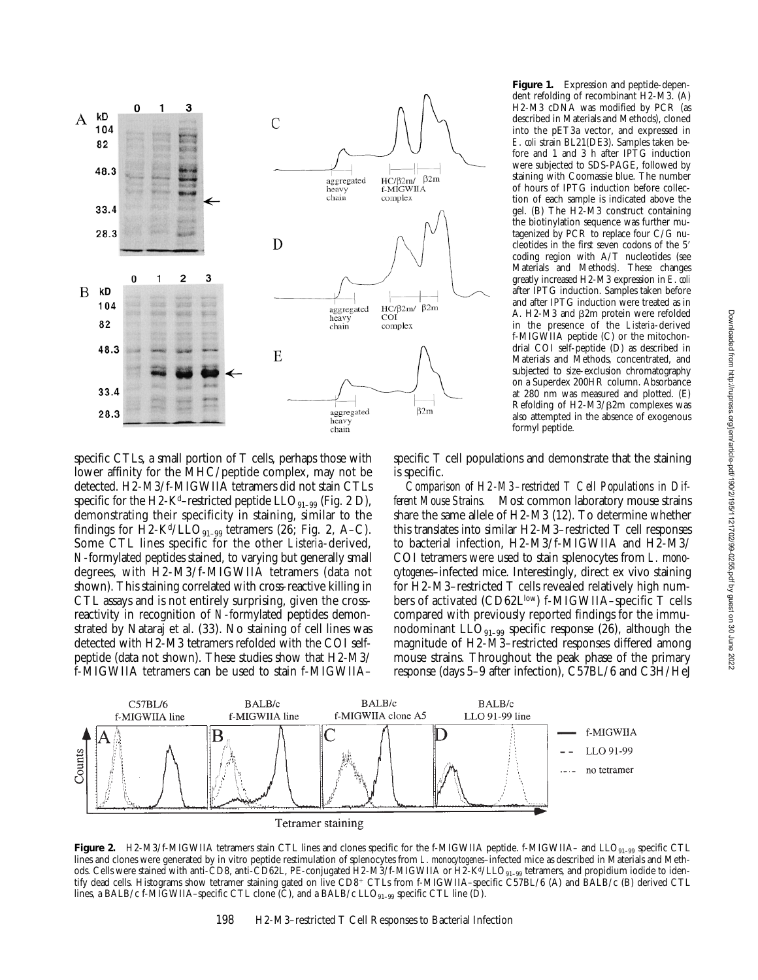

specific CTLs, a small portion of T cells, perhaps those with lower affinity for the MHC/peptide complex, may not be detected. H2-M3/f-MIGWIIA tetramers did not stain CTLs specific for the H2-K<sup>d</sup>–restricted peptide  $LLO_{91-99}$  (Fig. 2 D), demonstrating their specificity in staining, similar to the findings for H2-K<sup>d</sup>/LLO<sub>91-99</sub> tetramers (26; Fig. 2, A–C). Some CTL lines specific for the other *Listeria*-derived, *N*-formylated peptides stained, to varying but generally small degrees, with H2-M3/f-MIGWIIA tetramers (data not shown). This staining correlated with cross-reactive killing in CTL assays and is not entirely surprising, given the crossreactivity in recognition of *N*-formylated peptides demonstrated by Nataraj et al. (33). No staining of cell lines was detected with H2-M3 tetramers refolded with the COI selfpeptide (data not shown). These studies show that H2-M3/ f-MIGWIIA tetramers can be used to stain f-MIGWIIA–

**Figure 1.** Expression and peptide-dependent refolding of recombinant H2-M3. (A) H2-M3 cDNA was modified by PCR (as described in Materials and Methods), cloned into the pET3a vector, and expressed in *E*. *coli* strain BL21(DE3). Samples taken before and 1 and 3 h after IPTG induction were subjected to SDS-PAGE, followed by staining with Coomassie blue. The number of hours of IPTG induction before collection of each sample is indicated above the gel. (B) The H2-M3 construct containing the biotinylation sequence was further mutagenized by PCR to replace four C/G nucleotides in the first seven codons of the 5' coding region with A/T nucleotides (see Materials and Methods). These changes greatly increased H2-M3 expression in *E*. *coli* after IPTG induction. Samples taken before and after IPTG induction were treated as in A. H2-M3 and  $\beta$ 2m protein were refolded in the presence of the *Listeria*-derived f-MIGWIIA peptide (C) or the mitochondrial COI self-peptide (D) as described in Materials and Methods, concentrated, and subjected to size-exclusion chromatography on a Superdex 200HR column. Absorbance at 280 nm was measured and plotted. (E) Refolding of H2-M3/ $\beta$ 2m complexes was also attempted in the absence of exogenous formyl peptide.

specific T cell populations and demonstrate that the staining is specific.

*Comparison of H2-M3–restricted T Cell Populations in Different Mouse Strains.* Most common laboratory mouse strains share the same allele of H2-M3 (12). To determine whether this translates into similar H2-M3–restricted T cell responses to bacterial infection, H2-M3/f-MIGWIIA and H2-M3/ COI tetramers were used to stain splenocytes from *L. monocytogenes*–infected mice. Interestingly, direct ex vivo staining for H2-M3–restricted T cells revealed relatively high numbers of activated (CD62Llow) f-MIGWIIA-specific T cells compared with previously reported findings for the immunodominant  $LLO_{q_1-q_9}$  specific response (26), although the magnitude of H2-M3–restricted responses differed among mouse strains. Throughout the peak phase of the primary response (days 5–9 after infection), C57BL/6 and C3H/HeJ



**Figure 2.** H2-M3/f-MIGWIIA tetramers stain CTL lines and clones specific for the f-MIGWIIA peptide. f-MIGWIIA– and LLO<sub>91–99</sub> specific CTL lines and clones were generated by in vitro peptide restimulation of splenocytes from *L*. *monocytogenes*–infected mice as described in Materials and Methods. Cells were stained with anti-CD8, anti-CD62L, PE-conjugated H2-M3/f-MIGWIIA or H2-K<sup>d</sup>/LLO<sub>91-99</sub> tetramers, and propidium iodide to identify dead cells. Histograms show tetramer staining gated on live CD8+ CTLs from f-MIGWIIA-specific C57BL/6 (A) and BALB/c (B) derived CTL lines, a BALB/c f-MIGWIIA–specific CTL clone (C), and a BALB/c LLO<sub>91–99</sub> specific CTL line (D).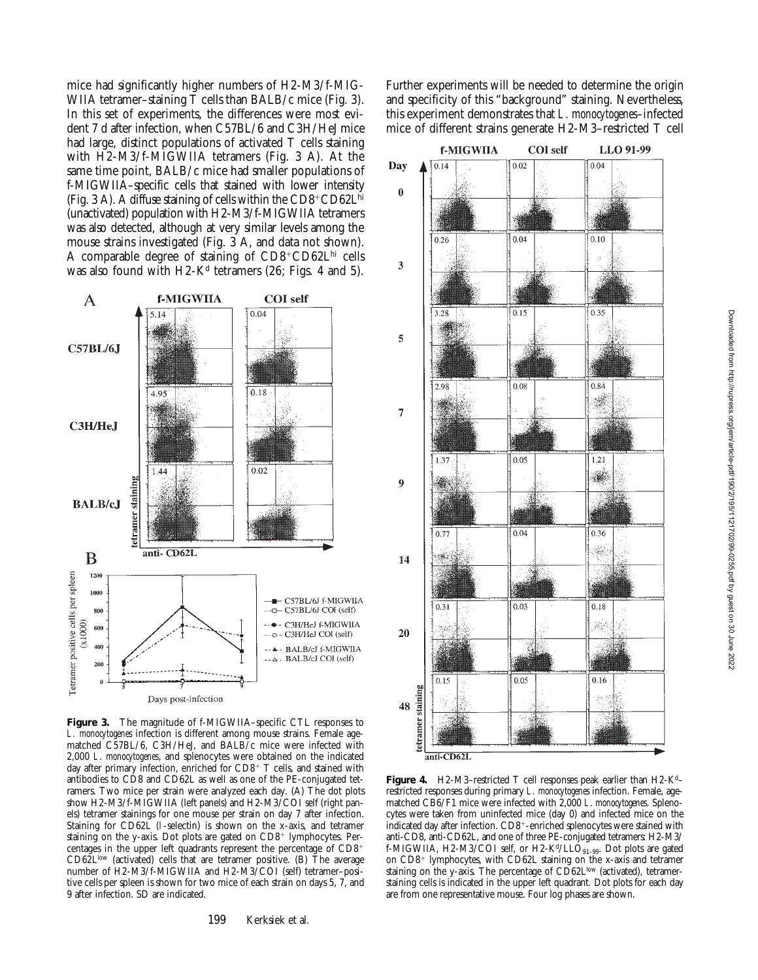mice had significantly higher numbers of H2-M3/f-MIG-WIIA tetramer–staining  $\overline{T}$  cells than BALB/c mice (Fig. 3). In this set of experiments, the differences were most evident 7 d after infection, when C57BL/6 and C3H/HeJ mice had large, distinct populations of activated T cells staining with H2-M3/f-MIGWIIA tetramers (Fig. 3 A). At the same time point, BALB/c mice had smaller populations of f-MIGWIIA–specific cells that stained with lower intensity (Fig. 3 A). A diffuse staining of cells within the  $CD8^{\circ}CD62L^{\text{hi}}$ (unactivated) population with H2-M3/f-MIGWIIA tetramers was also detected, although at very similar levels among the mouse strains investigated (Fig. 3 A, and data not shown). A comparable degree of staining of  $CDS+CDS2L<sup>hi</sup>$  cells was also found with  $H2-K<sup>d</sup>$  tetramers (26; Figs. 4 and 5).



**Figure 3.** The magnitude of f-MIGWIIA–specific CTL responses to *L. monocytogenes* infection is different among mouse strains. Female agematched C57BL/6, C3H/HeJ, and BALB/c mice were infected with 2,000 *L*. *monocytogenes*, and splenocytes were obtained on the indicated day after primary infection, enriched for  $CD8^+$  T cells, and stained with antibodies to CD8 and CD62L as well as one of the PE-conjugated tetramers. Two mice per strain were analyzed each day. (A) The dot plots show H2-M3/f-MIGWIIA (left panels) and H2-M3/COI self (right panels) tetramer stainings for one mouse per strain on day 7 after infection. Staining for CD62L (l-selectin) is shown on the x-axis, and tetramer staining on the y-axis. Dot plots are gated on CD8<sup>+</sup> lymphocytes. Percentages in the upper left quadrants represent the percentage of CD8<sup>+</sup> CD62Llow (activated) cells that are tetramer positive. (B) The average number of H2-M3/f-MIGWIIA and H2-M3/COI (self) tetramer–positive cells per spleen is shown for two mice of each strain on days 5, 7, and 9 after infection. SD are indicated.

Further experiments will be needed to determine the origin and specificity of this "background" staining. Nevertheless, this experiment demonstrates that *L*. *monocytogenes*–infected mice of different strains generate H2-M3–restricted T cell



**Figure 4.** H2-M3–restricted T cell responses peak earlier than H2-Kd– restricted responses during primary *L. monocytogenes* infection. Female, agematched CB6/F1 mice were infected with 2,000 *L*. *monocytogenes*. Splenocytes were taken from uninfected mice (day 0) and infected mice on the indicated day after infection. CD8<sup>+</sup>-enriched splenocytes were stained with anti-CD8, anti-CD62L, and one of three PE-conjugated tetramers: H2-M3/ f-MIGWIIA, H2-M3/COI self, or H2-K<sup>d</sup>/LLO<sub>91–99</sub>. Dot plots are gated on CD8<sup>+</sup> lymphocytes, with CD62L staining on the x-axis and tetramer staining on the y-axis. The percentage of CD62Llow (activated), tetramerstaining cells is indicated in the upper left quadrant. Dot plots for each day are from one representative mouse. Four log phases are shown.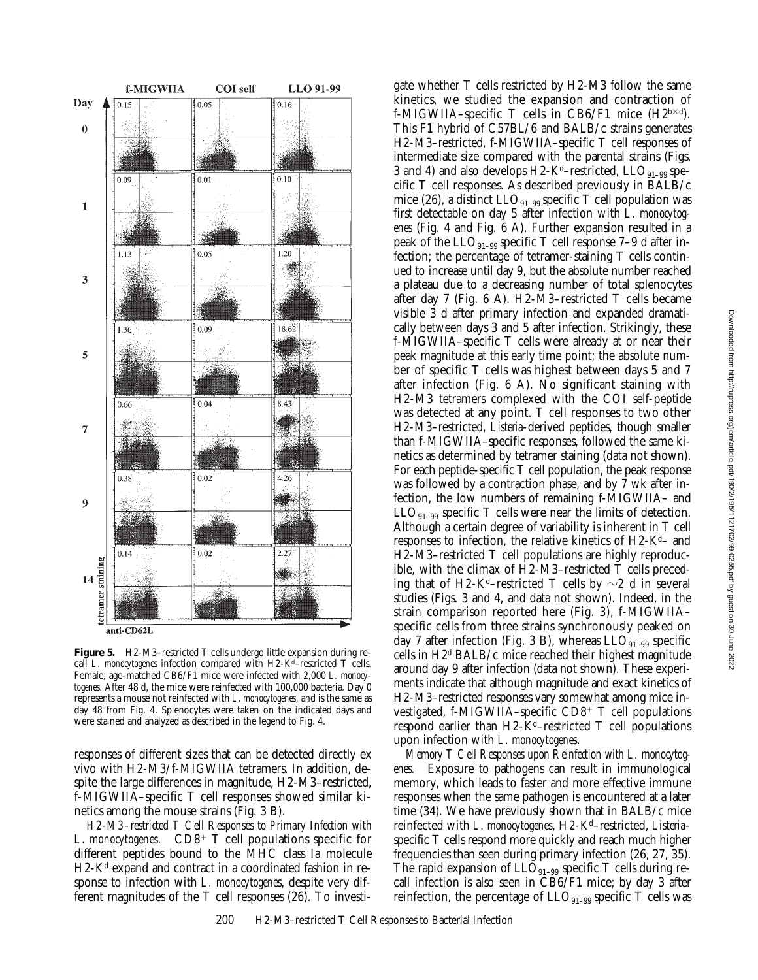

**Figure 5.** H2-M3–restricted T cells undergo little expansion during recall *L. monocytogenes* infection compared with H2-K<sup>d</sup>–restricted T cells. Female, age-matched CB6/F1 mice were infected with 2,000 *L. monocytogenes*. After 48 d, the mice were reinfected with 100,000 bacteria. Day 0 represents a mouse not reinfected with *L*. *monocytogenes*, and is the same as day 48 from Fig. 4. Splenocytes were taken on the indicated days and were stained and analyzed as described in the legend to Fig. 4.

responses of different sizes that can be detected directly ex vivo with H2-M3/f-MIGWIIA tetramers. In addition, despite the large differences in magnitude, H2-M3–restricted, f-MIGWIIA–specific T cell responses showed similar kinetics among the mouse strains (Fig. 3 B).

*H2-M3–restricted T Cell Responses to Primary Infection with L. monocytogenes.*  $CD8<sup>+</sup> T$  cell populations specific for different peptides bound to the MHC class Ia molecule  $H2-K<sup>d</sup>$  expand and contract in a coordinated fashion in response to infection with *L. monocytogenes*, despite very different magnitudes of the T cell responses (26). To investigate whether T cells restricted by H2-M3 follow the same kinetics, we studied the expansion and contraction of f-MIGWIIA–specific T cells in CB6/F1 mice  $(H2^{b \times d})$ . This F1 hybrid of C57BL/6 and BALB/c strains generates H2-M3–restricted, f-MIGWIIA–specific T cell responses of intermediate size compared with the parental strains (Figs. 3 and 4) and also develops H2-K<sup>d</sup>–restricted,  $LLO_{91-99}$  specific T cell responses. As described previously in BALB/c mice (26), a distinct  $LLO_{91-99}$  specific T cell population was first detectable on day 5 after infection with *L*. *monocytogenes* (Fig. 4 and Fig. 6 A). Further expansion resulted in a peak of the  $LLO_{91-99}$  specific T cell response 7–9 d after infection; the percentage of tetramer-staining T cells continued to increase until day 9, but the absolute number reached a plateau due to a decreasing number of total splenocytes after day 7 (Fig. 6 A). H2-M3–restricted T cells became visible 3 d after primary infection and expanded dramatically between days 3 and 5 after infection. Strikingly, these f-MIGWIIA–specific T cells were already at or near their peak magnitude at this early time point; the absolute number of specific T cells was highest between days 5 and 7 after infection (Fig. 6 A). No significant staining with H2-M3 tetramers complexed with the COI self-peptide was detected at any point. T cell responses to two other H2-M3–restricted, *Listeria*-derived peptides, though smaller than f-MIGWIIA–specific responses, followed the same kinetics as determined by tetramer staining (data not shown). For each peptide-specific T cell population, the peak response was followed by a contraction phase, and by 7 wk after infection, the low numbers of remaining f-MIGWIIA– and  $LLO_{91-99}$  specific T cells were near the limits of detection. Although a certain degree of variability is inherent in T cell responses to infection, the relative kinetics of  $H2-K<sup>d</sup>$  and H2-M3–restricted T cell populations are highly reproducible, with the climax of H2-M3–restricted T cells preceding that of H2-K<sup>d</sup>–restricted T cells by  $\sim$ 2 d in several studies (Figs. 3 and 4, and data not shown). Indeed, in the strain comparison reported here (Fig. 3), f-MIGWIIA– specific cells from three strains synchronously peaked on day 7 after infection (Fig. 3 B), whereas  $LLO<sub>91-99</sub>$  specific cells in H2d BALB/c mice reached their highest magnitude around day 9 after infection (data not shown). These experiments indicate that although magnitude and exact kinetics of H2-M3–restricted responses vary somewhat among mice investigated, f-MIGWIIA–specific  $CD8^+$  T cell populations respond earlier than  $H2-K<sup>d</sup>$ –restricted T cell populations upon infection with *L*. *monocytogenes*.

*Memory T Cell Responses upon Reinfection with L. monocytogenes.* Exposure to pathogens can result in immunological memory, which leads to faster and more effective immune responses when the same pathogen is encountered at a later time (34). We have previously shown that in BALB/c mice reinfected with *L*. *monocytogenes*, H2-Kd–restricted, *Listeria*specific T cells respond more quickly and reach much higher frequencies than seen during primary infection (26, 27, 35). The rapid expansion of  $LLO_{91-99}$  specific T cells during recall infection is also seen in CB6/F1 mice; by day 3 after reinfection, the percentage of  $LLO_{91-99}$  specific T cells was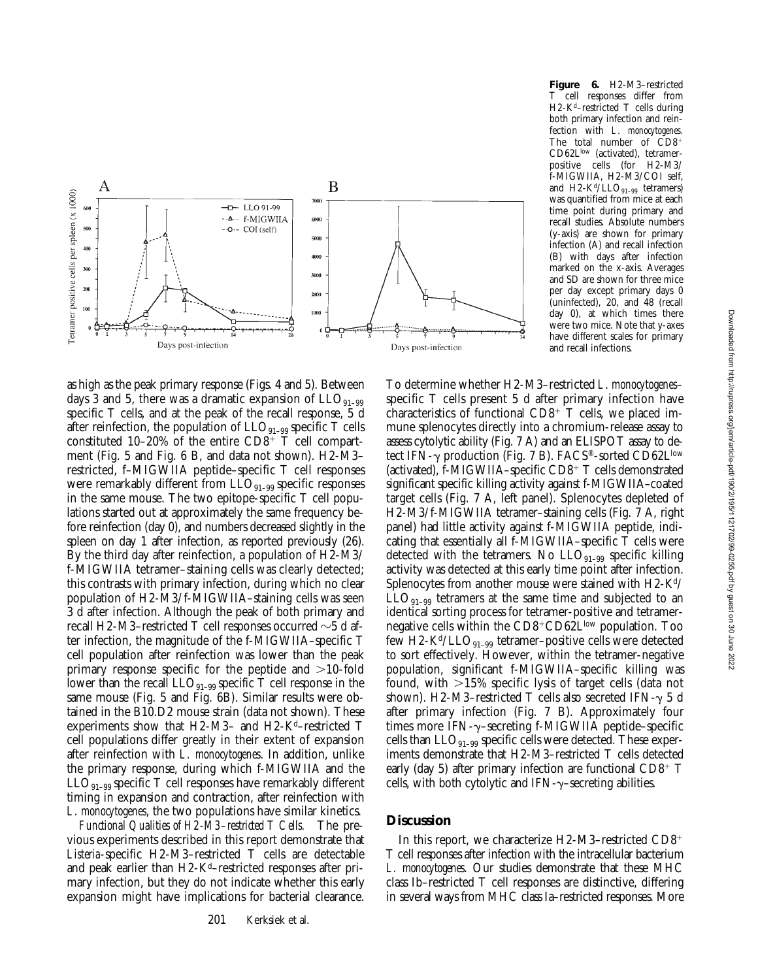

as high as the peak primary response (Figs. 4 and 5). Between days 3 and 5, there was a dramatic expansion of  $LLO_{91-99}$ specific T cells, and at the peak of the recall response, 5 d after reinfection, the population of  $LLO_{91-99}$  specific T cells constituted  $10-20\%$  of the entire CD8<sup>+</sup> T cell compartment (Fig. 5 and Fig. 6 B, and data not shown). H2-M3– restricted, f–MIGWIIA peptide–specific T cell responses were remarkably different from  $LLO_{91-99}$  specific responses in the same mouse. The two epitope-specific T cell populations started out at approximately the same frequency before reinfection (day 0), and numbers decreased slightly in the spleen on day 1 after infection, as reported previously (26). By the third day after reinfection, a population of H2-M3/ f-MIGWIIA tetramer–staining cells was clearly detected; this contrasts with primary infection, during which no clear population of H2-M3/f-MIGWIIA–staining cells was seen 3 d after infection. Although the peak of both primary and recall H2-M3–restricted T cell responses occurred  $\sim$ 5 d after infection, the magnitude of the f-MIGWIIA–specific T cell population after reinfection was lower than the peak primary response specific for the peptide and  $>10$ -fold lower than the recall  $LLO_{91-99}$  specific T cell response in the same mouse (Fig. 5 and Fig. 6B). Similar results were obtained in the B10.D2 mouse strain (data not shown). These experiments show that H2-M3- and H2-K<sup>d</sup>-restricted T cell populations differ greatly in their extent of expansion after reinfection with *L. monocytogenes*. In addition, unlike the primary response, during which f-MIGWIIA and the  $LLO_{q_1-q_9}$  specific T cell responses have remarkably different timing in expansion and contraction, after reinfection with *L*. *monocytogenes*, the two populations have similar kinetics.

*Functional Qualities of H2-M3–restricted T Cells.* The previous experiments described in this report demonstrate that *Listeria*-specific H2-M3–restricted T cells are detectable and peak earlier than H2-K<sup>d</sup>–restricted responses after primary infection, but they do not indicate whether this early expansion might have implications for bacterial clearance.

**Figure 6.** H2-M3–restricted T cell responses differ from H2-K<sup>d</sup>-restricted T cells during both primary infection and reinfection with *L*. *monocytogenes*. The total number of  $\overline{C}D8^+$ CD62Llow (activated), tetramerpositive cells (for H2-M3/ f-MIGWIIA, H2-M3/COI self, and  $H2-K<sup>d</sup>/LLO<sub>91-99</sub>$  tetramers) was quantified from mice at each time point during primary and recall studies. Absolute numbers (y-axis) are shown for primary infection (A) and recall infection (B) with days after infection marked on the x-axis. Averages and SD are shown for three mice per day except primary days 0 (uninfected), 20, and 48 (recall day 0), at which times there were two mice. Note that y-axes have different scales for primary and recall infections.

To determine whether H2-M3–restricted *L*. *monocytogenes*– specific T cells present 5 d after primary infection have characteristics of functional  $CD8^+$  T cells, we placed immune splenocytes directly into a chromium-release assay to assess cytolytic ability (Fig. 7 A) and an ELISPOT assay to detect IFN- $\gamma$  production (Fig. 7 B). FACS<sup>®</sup>-sorted CD62L<sup>low</sup> (activated), f-MIGWIIA–specific  $CD8^+$  T cells demonstrated significant specific killing activity against f-MIGWIIA–coated target cells (Fig. 7 A, left panel). Splenocytes depleted of H2-M3/f-MIGWIIA tetramer–staining cells (Fig. 7 A, right panel) had little activity against f-MIGWIIA peptide, indicating that essentially all f-MIGWIIA–specific T cells were detected with the tetramers. No  $LLO_{91-99}$  specific killing activity was detected at this early time point after infection. Splenocytes from another mouse were stained with H2-K<sup>d</sup>/  $LLO_{91-99}$  tetramers at the same time and subjected to an identical sorting process for tetramer-positive and tetramernegative cells within the  $CD8+CD62L^{\text{low}}$  population. Too few H2-K<sup>d</sup>/LLO<sub>91–99</sub> tetramer–positive cells were detected to sort effectively. However, within the tetramer-negative population, significant f-MIGWIIA–specific killing was found, with  $>15\%$  specific lysis of target cells (data not shown). H2-M3–restricted T cells also secreted IFN- $\gamma$  5 d after primary infection (Fig. 7 B). Approximately four times more IFN- $\gamma$ -secreting f-MIGWIIA peptide-specific cells than  $LLO_{91-99}$  specific cells were detected. These experiments demonstrate that H2-M3–restricted T cells detected early (day 5) after primary infection are functional  $CD8^+$  T cells, with both cytolytic and  $IFN-\gamma$ –secreting abilities.

# **Discussion**

In this report, we characterize H2-M3-restricted  $CD8^+$ T cell responses after infection with the intracellular bacterium *L. monocytogenes*. Our studies demonstrate that these MHC class Ib–restricted T cell responses are distinctive, differing in several ways from MHC class Ia–restricted responses. More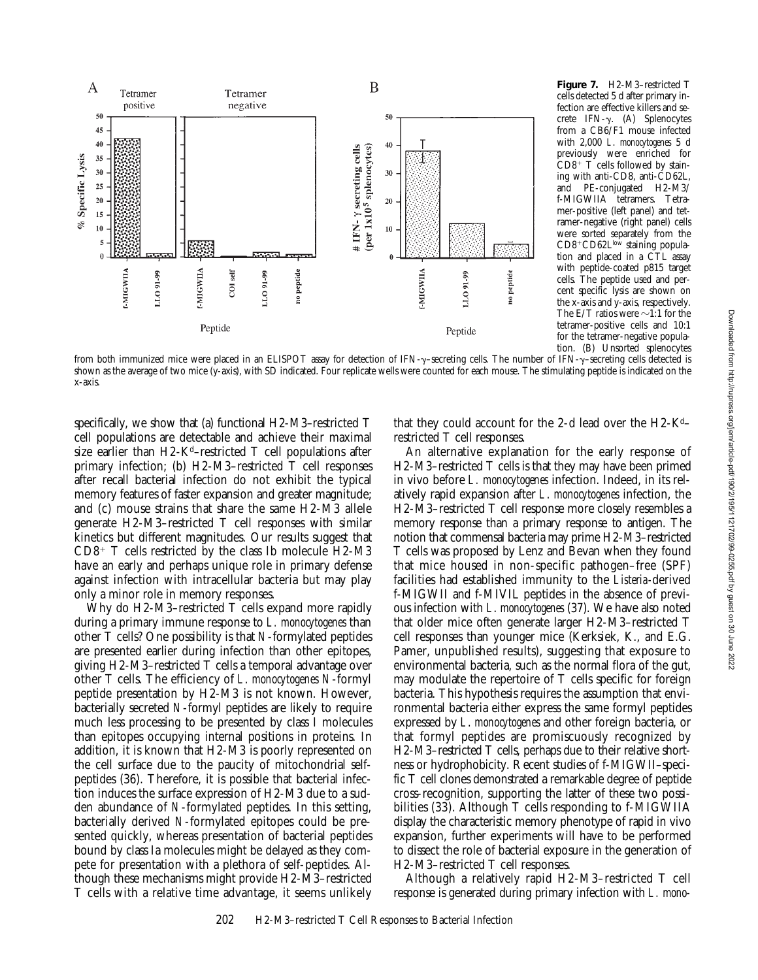

**Figure 7.** H2-M3–restricted T cells detected 5 d after primary infection are effective killers and secrete IFN- $\gamma$ . (A) Splenocytes from a CB6/F1 mouse infected with 2,000 *L*. *monocytogenes* 5 d previously were enriched for  $CD8^+$  T cells followed by staining with anti-CD8, anti-CD62L, and PE-conjugated H2-M3/ f-MIGWIIA tetramers. Tetramer-positive (left panel) and tetramer-negative (right panel) cells were sorted separately from the CD8+CD62Llow staining population and placed in a CTL assay with peptide-coated p815 target cells. The peptide used and percent specific lysis are shown on the x-axis and y-axis, respectively. The E/T ratios were  $\sim$ 1:1 for the tetramer-positive cells and 10:1 for the tetramer-negative population. (B) Unsorted splenocytes

from both immunized mice were placed in an ELISPOT assay for detection of IFN-y-secreting cells. The number of IFN-y-secreting cells detected is shown as the average of two mice (y-axis), with SD indicated. Four replicate wells were counted for each mouse. The stimulating peptide is indicated on the x-axis.

specifically, we show that (a) functional H2-M3–restricted T cell populations are detectable and achieve their maximal size earlier than  $H2-K<sup>d</sup>$ -restricted T cell populations after primary infection; (b) H2-M3–restricted T cell responses after recall bacterial infection do not exhibit the typical memory features of faster expansion and greater magnitude; and (c) mouse strains that share the same H2-M3 allele generate H2-M3–restricted T cell responses with similar kinetics but different magnitudes. Our results suggest that  $CD8^+$  T cells restricted by the class Ib molecule H2-M3 have an early and perhaps unique role in primary defense against infection with intracellular bacteria but may play only a minor role in memory responses.

Why do H2-M3–restricted T cells expand more rapidly during a primary immune response to *L. monocytogenes* than other T cells? One possibility is that *N*-formylated peptides are presented earlier during infection than other epitopes, giving H2-M3–restricted T cells a temporal advantage over other T cells. The efficiency of *L*. *monocytogenes N*-formyl peptide presentation by H2-M3 is not known. However, bacterially secreted *N*-formyl peptides are likely to require much less processing to be presented by class I molecules than epitopes occupying internal positions in proteins. In addition, it is known that H2-M3 is poorly represented on the cell surface due to the paucity of mitochondrial selfpeptides (36). Therefore, it is possible that bacterial infection induces the surface expression of H2-M3 due to a sudden abundance of *N*-formylated peptides. In this setting, bacterially derived *N*-formylated epitopes could be presented quickly, whereas presentation of bacterial peptides bound by class Ia molecules might be delayed as they compete for presentation with a plethora of self-peptides. Although these mechanisms might provide H2-M3–restricted T cells with a relative time advantage, it seems unlikely

that they could account for the 2-d lead over the  $H2-K<sup>d</sup>$ restricted T cell responses.

An alternative explanation for the early response of H2-M3–restricted T cells is that they may have been primed in vivo before *L. monocytogenes* infection. Indeed, in its relatively rapid expansion after *L*. *monocytogenes* infection, the H2-M3–restricted T cell response more closely resembles a memory response than a primary response to antigen. The notion that commensal bacteria may prime H2-M3–restricted T cells was proposed by Lenz and Bevan when they found that mice housed in non-specific pathogen–free (SPF) facilities had established immunity to the *Listeria-*derived f-MIGWII and f-MIVIL peptides in the absence of previous infection with *L*. *monocytogenes* (37). We have also noted that older mice often generate larger H2-M3–restricted T cell responses than younger mice (Kerksiek, K., and E.G. Pamer, unpublished results), suggesting that exposure to environmental bacteria, such as the normal flora of the gut, may modulate the repertoire of T cells specific for foreign bacteria. This hypothesis requires the assumption that environmental bacteria either express the same formyl peptides expressed by *L*. *monocytogenes* and other foreign bacteria, or that formyl peptides are promiscuously recognized by H2-M3–restricted T cells, perhaps due to their relative shortness or hydrophobicity. Recent studies of f-MIGWII–specific T cell clones demonstrated a remarkable degree of peptide cross-recognition, supporting the latter of these two possibilities (33). Although T cells responding to f-MIGWIIA display the characteristic memory phenotype of rapid in vivo expansion, further experiments will have to be performed to dissect the role of bacterial exposure in the generation of H2-M3–restricted T cell responses.

Although a relatively rapid H2-M3–restricted T cell response is generated during primary infection with *L. mono-*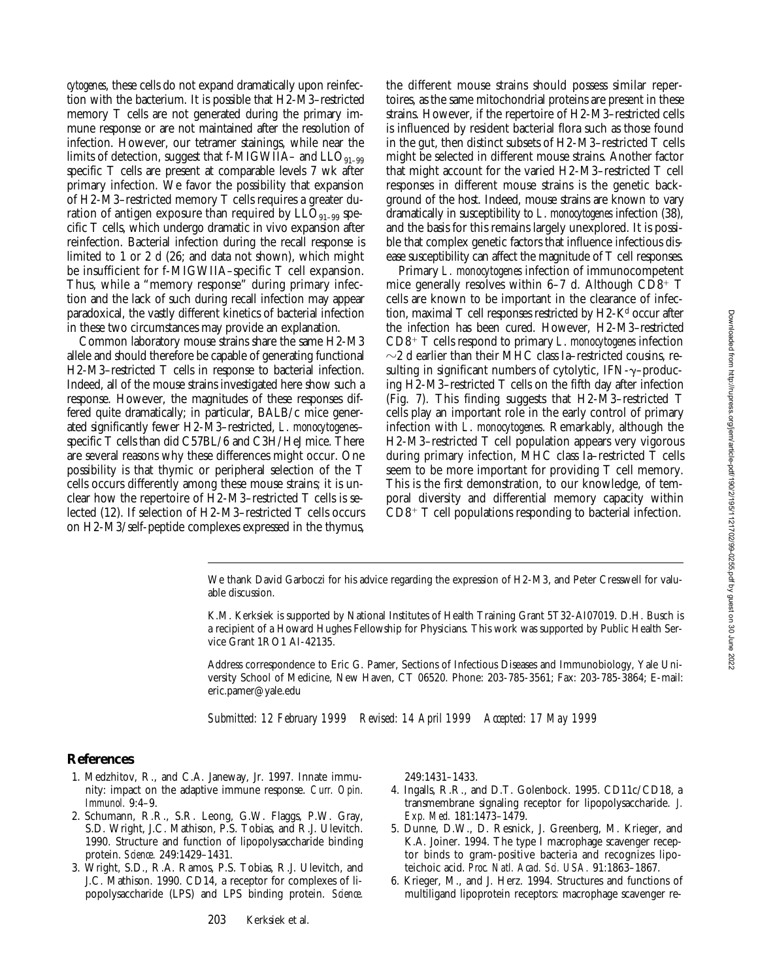*cytogenes*, these cells do not expand dramatically upon reinfection with the bacterium. It is possible that H2-M3–restricted memory T cells are not generated during the primary immune response or are not maintained after the resolution of infection. However, our tetramer stainings, while near the limits of detection, suggest that f-MIGWIIA– and  $LLO_{91-99}$ specific T cells are present at comparable levels 7 wk after primary infection. We favor the possibility that expansion of H2-M3–restricted memory T cells requires a greater duration of antigen exposure than required by  $LLO_{91-99}$  specific T cells, which undergo dramatic in vivo expansion after reinfection. Bacterial infection during the recall response is limited to 1 or 2 d (26; and data not shown), which might be insufficient for f-MIGWIIA–specific T cell expansion. Thus, while a "memory response" during primary infection and the lack of such during recall infection may appear paradoxical, the vastly different kinetics of bacterial infection in these two circumstances may provide an explanation.

Common laboratory mouse strains share the same H2-M3 allele and should therefore be capable of generating functional H2-M3–restricted T cells in response to bacterial infection. Indeed, all of the mouse strains investigated here show such a response. However, the magnitudes of these responses differed quite dramatically; in particular, BALB/c mice generated significantly fewer H2-M3–restricted, *L*. *monocytogenes*– specific T cells than did C57BL/6 and C3H/HeJ mice. There are several reasons why these differences might occur. One possibility is that thymic or peripheral selection of the T cells occurs differently among these mouse strains; it is unclear how the repertoire of H2-M3–restricted T cells is selected (12). If selection of H2-M3–restricted T cells occurs on H2-M3/self-peptide complexes expressed in the thymus,

the different mouse strains should possess similar repertoires, as the same mitochondrial proteins are present in these strains. However, if the repertoire of H2-M3–restricted cells is influenced by resident bacterial flora such as those found in the gut, then distinct subsets of H2-M3–restricted T cells might be selected in different mouse strains. Another factor that might account for the varied H2-M3–restricted T cell responses in different mouse strains is the genetic background of the host. Indeed, mouse strains are known to vary dramatically in susceptibility to *L*. *monocytogenes* infection (38), and the basis for this remains largely unexplored. It is possible that complex genetic factors that influence infectious disease susceptibility can affect the magnitude of T cell responses.

Primary *L. monocytogenes* infection of immunocompetent mice generally resolves within  $6-7$  d. Although CD8<sup>+</sup> T cells are known to be important in the clearance of infection, maximal  $T$  cell responses restricted by  $H2-K<sup>d</sup>$  occur after the infection has been cured. However, H2-M3–restricted CD8<sup>1</sup> T cells respond to primary *L*. *monocytogenes* infection  $\sim$ 2 d earlier than their MHC class Ia–restricted cousins, resulting in significant numbers of cytolytic,  $IFN-\gamma-produc$ ing H2-M3–restricted T cells on the fifth day after infection (Fig. 7). This finding suggests that H2-M3–restricted T cells play an important role in the early control of primary infection with *L*. *monocytogenes*. Remarkably, although the H2-M3–restricted T cell population appears very vigorous during primary infection, MHC class Ia–restricted T cells seem to be more important for providing T cell memory. This is the first demonstration, to our knowledge, of temporal diversity and differential memory capacity within  $CD8^+$  T cell populations responding to bacterial infection.

Address correspondence to Eric G. Pamer, Sections of Infectious Diseases and Immunobiology, Yale University School of Medicine, New Haven, CT 06520. Phone: 203-785-3561; Fax: 203-785-3864; E-mail: eric.pamer@yale.edu

*Submitted: 12 February 1999 Revised: 14 April 1999 Accepted: 17 May 1999*

#### **References**

- 1. Medzhitov, R., and C.A. Janeway, Jr. 1997. Innate immunity: impact on the adaptive immune response. *Curr. Opin. Immunol.* 9:4–9.
- 2. Schumann, R.R., S.R. Leong, G.W. Flaggs, P.W. Gray, S.D. Wright, J.C. Mathison, P.S. Tobias, and R.J. Ulevitch. 1990. Structure and function of lipopolysaccharide binding protein. *Science.* 249:1429–1431.
- 3. Wright, S.D., R.A. Ramos, P.S. Tobias, R.J. Ulevitch, and J.C. Mathison. 1990. CD14, a receptor for complexes of lipopolysaccharide (LPS) and LPS binding protein. *Science.*

249:1431–1433.

- 4. Ingalls, R.R., and D.T. Golenbock. 1995. CD11c/CD18, a transmembrane signaling receptor for lipopolysaccharide. *J. Exp. Med.* 181:1473–1479.
- 5. Dunne, D.W., D. Resnick, J. Greenberg, M. Krieger, and K.A. Joiner. 1994. The type I macrophage scavenger receptor binds to gram-positive bacteria and recognizes lipoteichoic acid. *Proc. Natl. Acad. Sci. USA.* 91:1863–1867.
- 6. Krieger, M., and J. Herz. 1994. Structures and functions of multiligand lipoprotein receptors: macrophage scavenger re-

We thank David Garboczi for his advice regarding the expression of H2-M3, and Peter Cresswell for valuable discussion.

K.M. Kerksiek is supported by National Institutes of Health Training Grant 5T32-AI07019. D.H. Busch is a recipient of a Howard Hughes Fellowship for Physicians. This work was supported by Public Health Service Grant 1RO1 AI-42135.